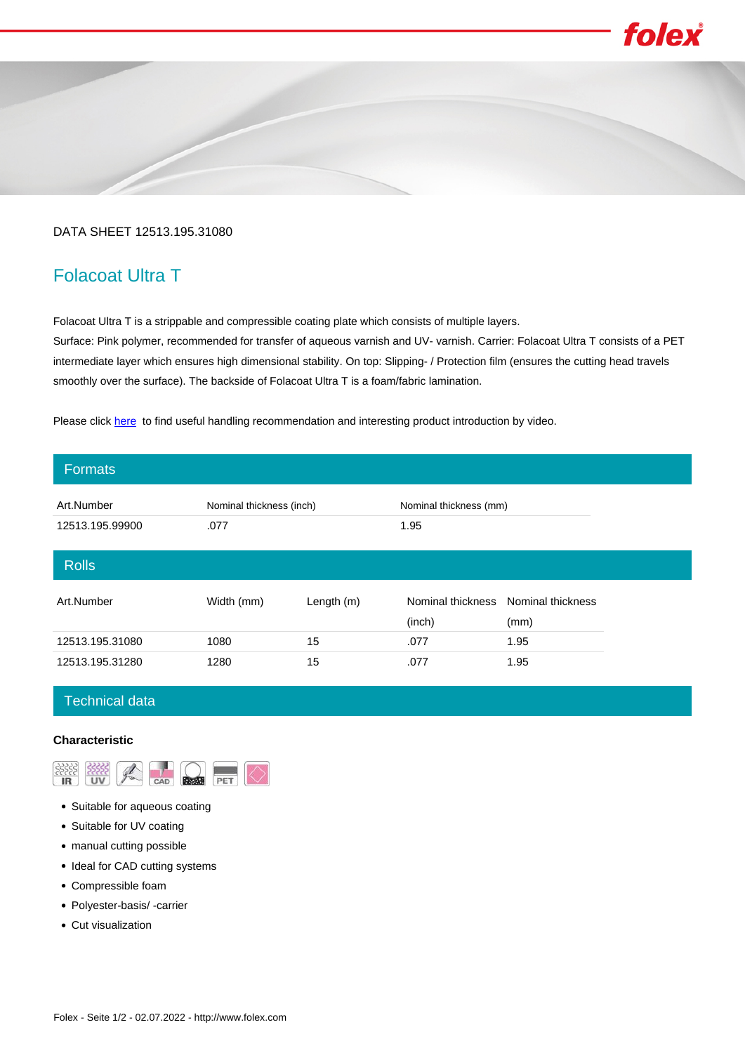# folex

## DATA SHEET 12513.195.31080

# Folacoat Ultra T

Folacoat Ultra T is a strippable and compressible coating plate which consists of multiple layers.

Surface: Pink polymer, recommended for transfer of aqueous varnish and UV- varnish. Carrier: Folacoat Ultra T consists of a PET intermediate layer which ensures high dimensional stability. On top: Slipping- / Protection film (ensures the cutting head travels smoothly over the surface). The backside of Folacoat Ultra T is a foam/fabric lamination.

Please click [here](https://www.youtube.com/watch?v=LwmMAzBJOdk&list=PLnXgLdxfKgwLxNt9o1tALCY_2ahnJte1B&index=12) to find useful handling recommendation and interesting product introduction by video.

| <b>Formats</b>  |                          |            |                             |                           |
|-----------------|--------------------------|------------|-----------------------------|---------------------------|
| Art.Number      | Nominal thickness (inch) |            | Nominal thickness (mm)      |                           |
| 12513.195.99900 | .077                     |            | 1.95                        |                           |
| <b>Rolls</b>    |                          |            |                             |                           |
| Art.Number      | Width (mm)               | Length (m) | Nominal thickness<br>(inch) | Nominal thickness<br>(mm) |
| 12513.195.31080 | 1080                     | 15         | .077                        | 1.95                      |
| 12513.195.31280 | 1280                     | 15         | .077                        | 1.95                      |

# Technical data

### **Characteristic**



- Suitable for aqueous coating
- Suitable for UV coating
- manual cutting possible
- Ideal for CAD cutting systems
- Compressible foam
- Polyester-basis/ -carrier
- Cut visualization